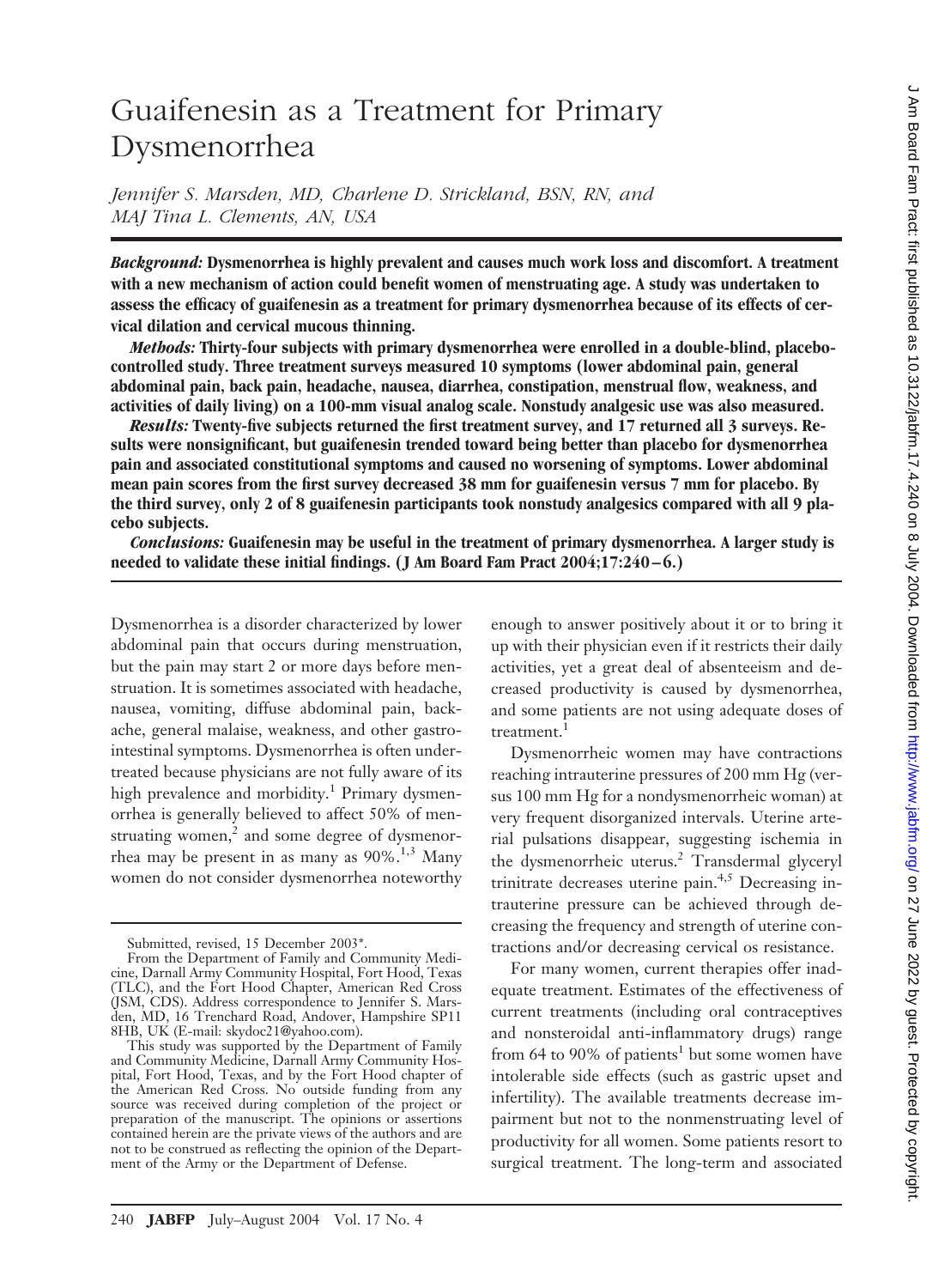# Guaifenesin as a Treatment for Primary Dysmenorrhea

*Jennifer S. Marsden, MD, Charlene D. Strickland, BSN, RN, and MAJ Tina L. Clements, AN, USA*

*Background:* **Dysmenorrhea is highly prevalent and causes much work loss and discomfort. A treatment with a new mechanism of action could benefit women of menstruating age. A study was undertaken to assess the efficacy of guaifenesin as a treatment for primary dysmenorrhea because of its effects of cervical dilation and cervical mucous thinning.**

*Methods:* **Thirty-four subjects with primary dysmenorrhea were enrolled in a double-blind, placebocontrolled study. Three treatment surveys measured 10 symptoms (lower abdominal pain, general abdominal pain, back pain, headache, nausea, diarrhea, constipation, menstrual flow, weakness, and activities of daily living) on a 100-mm visual analog scale. Nonstudy analgesic use was also measured.**

*Results:* **Twenty-five subjects returned the first treatment survey, and 17 returned all 3 surveys. Results were nonsignificant, but guaifenesin trended toward being better than placebo for dysmenorrhea pain and associated constitutional symptoms and caused no worsening of symptoms. Lower abdominal mean pain scores from the first survey decreased 38 mm for guaifenesin versus 7 mm for placebo. By the third survey, only 2 of 8 guaifenesin participants took nonstudy analgesics compared with all 9 placebo subjects.**

*Conclusions:* **Guaifenesin may be useful in the treatment of primary dysmenorrhea. A larger study is needed to validate these initial findings. (J Am Board Fam Pract 2004;17:240–6.)**

Dysmenorrhea is a disorder characterized by lower abdominal pain that occurs during menstruation, but the pain may start 2 or more days before menstruation. It is sometimes associated with headache, nausea, vomiting, diffuse abdominal pain, backache, general malaise, weakness, and other gastrointestinal symptoms. Dysmenorrhea is often undertreated because physicians are not fully aware of its high prevalence and morbidity.<sup>1</sup> Primary dysmenorrhea is generally believed to affect 50% of menstruating women, $<sup>2</sup>$  and some degree of dysmenor-</sup> rhea may be present in as many as  $90\%$ <sup>1,3</sup> Many women do not consider dysmenorrhea noteworthy enough to answer positively about it or to bring it up with their physician even if it restricts their daily activities, yet a great deal of absenteeism and decreased productivity is caused by dysmenorrhea, and some patients are not using adequate doses of treatment.<sup>1</sup>

Dysmenorrheic women may have contractions reaching intrauterine pressures of 200 mm Hg (versus 100 mm Hg for a nondysmenorrheic woman) at very frequent disorganized intervals. Uterine arterial pulsations disappear, suggesting ischemia in the dysmenorrheic uterus.<sup>2</sup> Transdermal glyceryl trinitrate decreases uterine pain.<sup>4,5</sup> Decreasing intrauterine pressure can be achieved through decreasing the frequency and strength of uterine contractions and/or decreasing cervical os resistance.

For many women, current therapies offer inadequate treatment. Estimates of the effectiveness of current treatments (including oral contraceptives and nonsteroidal anti-inflammatory drugs) range from 64 to 90% of patients<sup>1</sup> but some women have intolerable side effects (such as gastric upset and infertility). The available treatments decrease impairment but not to the nonmenstruating level of productivity for all women. Some patients resort to surgical treatment. The long-term and associated

Submitted, revised, 15 December 2003\*.

From the Department of Family and Community Medicine, Darnall Army Community Hospital, Fort Hood, Texas (TLC), and the Fort Hood Chapter, American Red Cross (JSM, CDS). Address correspondence to Jennifer S. Marsden, MD, 16 Trenchard Road, Andover, Hampshire SP11 8HB, UK (E-mail: skydoc21@yahoo.com).

This study was supported by the Department of Family and Community Medicine, Darnall Army Community Hospital, Fort Hood, Texas, and by the Fort Hood chapter of the American Red Cross. No outside funding from any source was received during completion of the project or preparation of the manuscript. The opinions or assertions contained herein are the private views of the authors and are not to be construed as reflecting the opinion of the Department of the Army or the Department of Defense.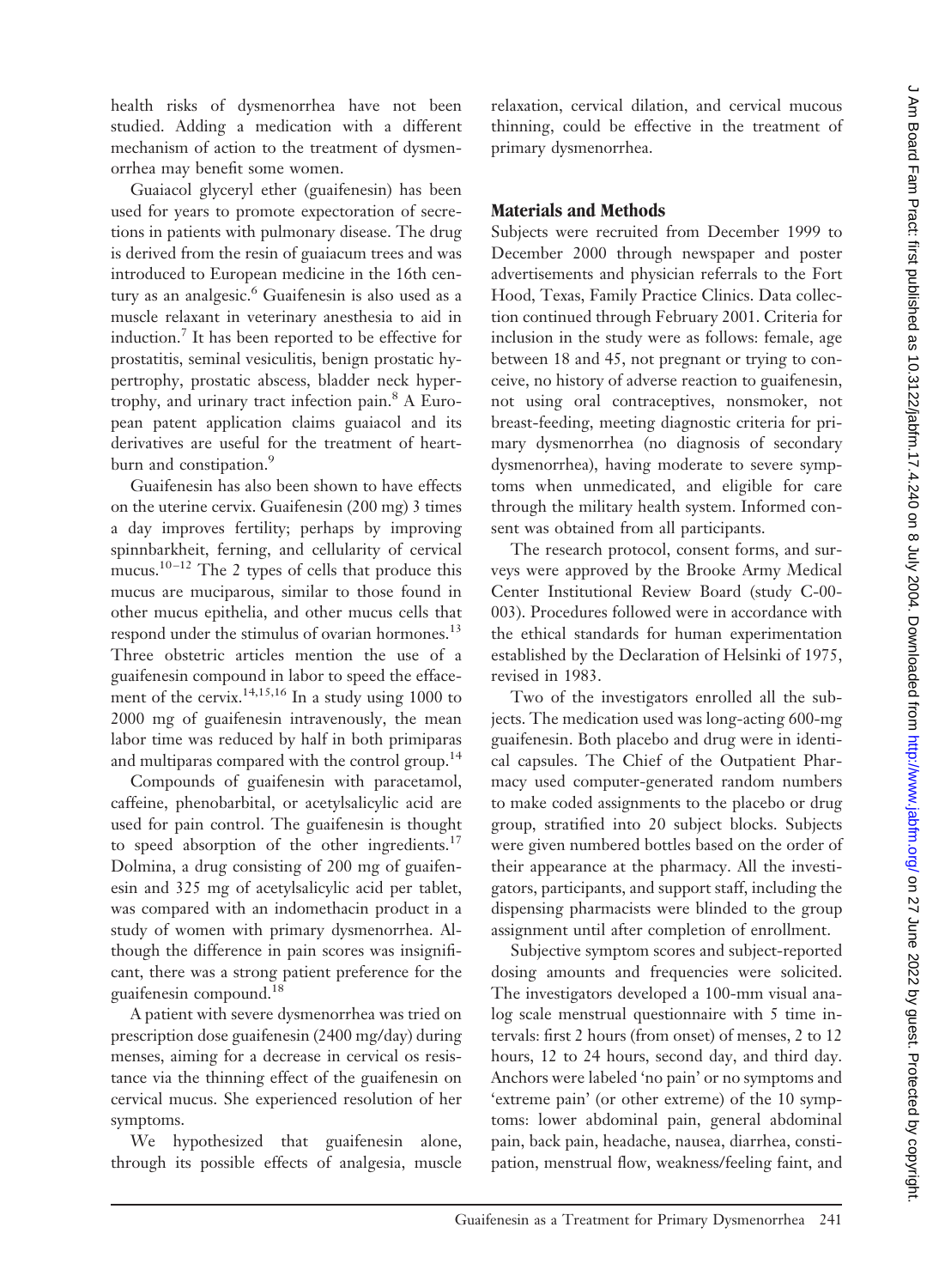health risks of dysmenorrhea have not been studied. Adding a medication with a different mechanism of action to the treatment of dysmenorrhea may benefit some women.

Guaiacol glyceryl ether (guaifenesin) has been used for years to promote expectoration of secretions in patients with pulmonary disease. The drug is derived from the resin of guaiacum trees and was introduced to European medicine in the 16th century as an analgesic.<sup>6</sup> Guaifenesin is also used as a muscle relaxant in veterinary anesthesia to aid in induction.7 It has been reported to be effective for prostatitis, seminal vesiculitis, benign prostatic hypertrophy, prostatic abscess, bladder neck hypertrophy, and urinary tract infection pain.8 A European patent application claims guaiacol and its derivatives are useful for the treatment of heartburn and constipation.<sup>9</sup>

Guaifenesin has also been shown to have effects on the uterine cervix. Guaifenesin (200 mg) 3 times a day improves fertility; perhaps by improving spinnbarkheit, ferning, and cellularity of cervical mucus.<sup>10-12</sup> The 2 types of cells that produce this mucus are muciparous, similar to those found in other mucus epithelia, and other mucus cells that respond under the stimulus of ovarian hormones.<sup>13</sup> Three obstetric articles mention the use of a guaifenesin compound in labor to speed the effacement of the cervix.<sup>14,15,16</sup> In a study using 1000 to 2000 mg of guaifenesin intravenously, the mean labor time was reduced by half in both primiparas and multiparas compared with the control group.<sup>14</sup>

Compounds of guaifenesin with paracetamol, caffeine, phenobarbital, or acetylsalicylic acid are used for pain control. The guaifenesin is thought to speed absorption of the other ingredients.<sup>17</sup> Dolmina, a drug consisting of 200 mg of guaifenesin and 325mg of acetylsalicylic acid per tablet, was compared with an indomethacin product in a study of women with primary dysmenorrhea. Although the difference in pain scores was insignificant, there was a strong patient preference for the guaifenesin compound.18

A patient with severe dysmenorrhea was tried on prescription dose guaifenesin (2400 mg/day) during menses, aiming for a decrease in cervical os resistance via the thinning effect of the guaifenesin on cervical mucus. She experienced resolution of her symptoms.

We hypothesized that guaifenesin alone, through its possible effects of analgesia, muscle relaxation, cervical dilation, and cervical mucous thinning, could be effective in the treatment of primary dysmenorrhea.

# **Materials and Methods**

Subjects were recruited from December 1999 to December 2000 through newspaper and poster advertisements and physician referrals to the Fort Hood, Texas, Family Practice Clinics. Data collection continued through February 2001. Criteria for inclusion in the study were as follows: female, age between 18 and 45, not pregnant or trying to conceive, no history of adverse reaction to guaifenesin, not using oral contraceptives, nonsmoker, not breast-feeding, meeting diagnostic criteria for primary dysmenorrhea (no diagnosis of secondary dysmenorrhea), having moderate to severe symptoms when unmedicated, and eligible for care through the military health system. Informed consent was obtained from all participants.

The research protocol, consent forms, and surveys were approved by the Brooke Army Medical Center Institutional Review Board (study C-00- 003). Procedures followed were in accordance with the ethical standards for human experimentation established by the Declaration of Helsinki of 1975, revised in 1983.

Two of the investigators enrolled all the subjects. The medication used was long-acting 600-mg guaifenesin. Both placebo and drug were in identical capsules. The Chief of the Outpatient Pharmacy used computer-generated random numbers to make coded assignments to the placebo or drug group, stratified into 20 subject blocks. Subjects were given numbered bottles based on the order of their appearance at the pharmacy. All the investigators, participants, and support staff, including the dispensing pharmacists were blinded to the group assignment until after completion of enrollment.

Subjective symptom scores and subject-reported dosing amounts and frequencies were solicited. The investigators developed a 100-mm visual analog scale menstrual questionnaire with 5 time intervals: first 2 hours (from onset) of menses, 2 to 12 hours, 12 to 24 hours, second day, and third day. Anchors were labeled 'no pain' or no symptoms and 'extreme pain' (or other extreme) of the 10 symptoms: lower abdominal pain, general abdominal pain, back pain, headache, nausea, diarrhea, constipation, menstrual flow, weakness/feeling faint, and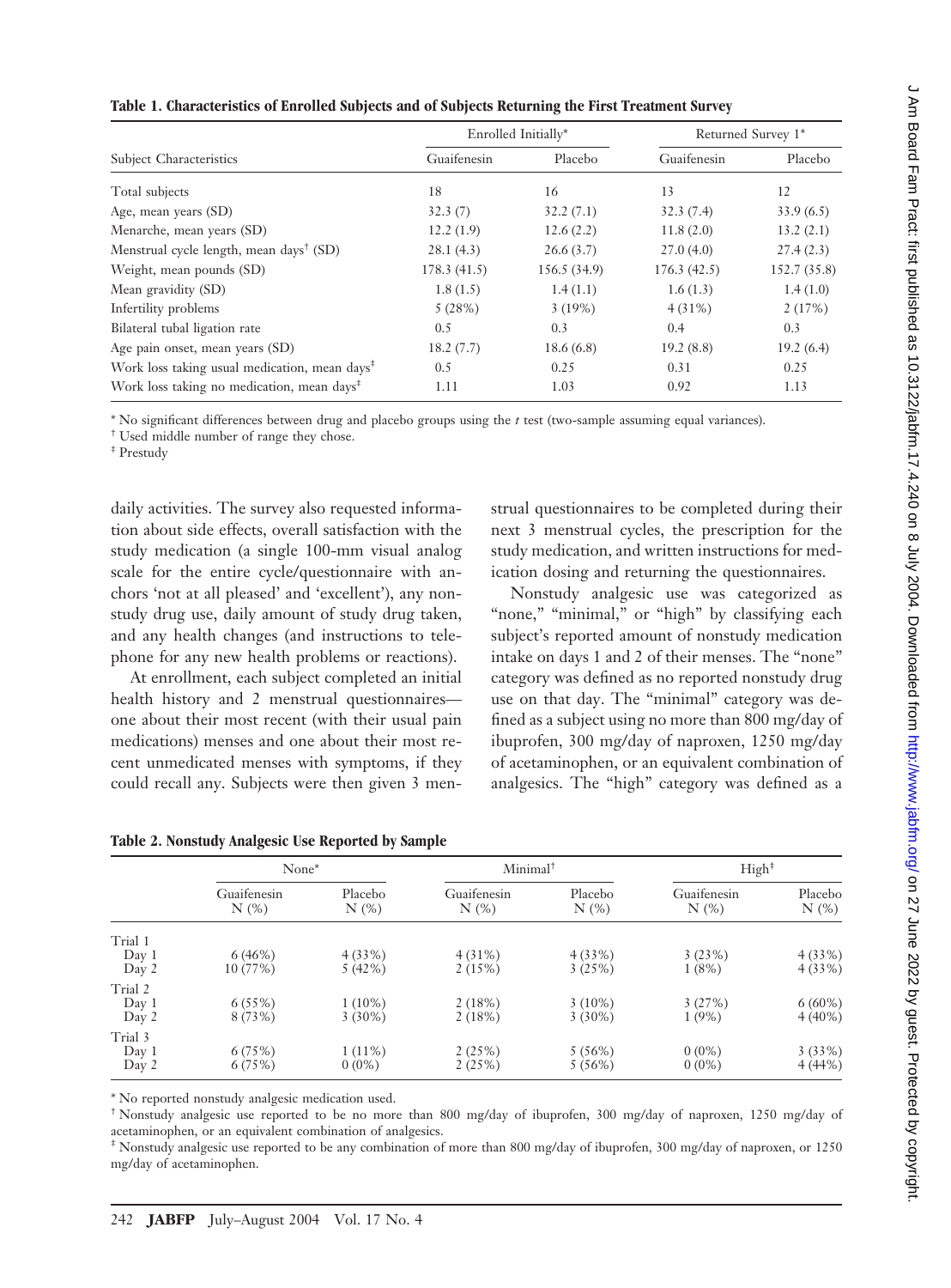| ֡֡֡֡֡                                                               |
|---------------------------------------------------------------------|
|                                                                     |
| }                                                                   |
| ו<br>נו<br>J                                                        |
|                                                                     |
|                                                                     |
|                                                                     |
| $\overline{ }$                                                      |
| 1                                                                   |
|                                                                     |
|                                                                     |
| <b>.</b><br>2<br>2<br>2<br>2<br>2<br>2<br>2<br>2<br>2<br>2<br>2<br> |
| j<br>t                                                              |
|                                                                     |
|                                                                     |
|                                                                     |
|                                                                     |
|                                                                     |
|                                                                     |
|                                                                     |
|                                                                     |
|                                                                     |
| $\frac{1}{2}$                                                       |
|                                                                     |
|                                                                     |
|                                                                     |
|                                                                     |
|                                                                     |
|                                                                     |
|                                                                     |
| ;                                                                   |
|                                                                     |
|                                                                     |
|                                                                     |
| りょうこうこう くらい こうこうこうこう                                                |
|                                                                     |
|                                                                     |
| ה<br>ק                                                              |
|                                                                     |
|                                                                     |
| シファ コフ                                                              |
|                                                                     |
|                                                                     |
|                                                                     |
|                                                                     |
|                                                                     |
|                                                                     |
|                                                                     |
|                                                                     |
|                                                                     |
| $\overline{ }$                                                      |
|                                                                     |
|                                                                     |
|                                                                     |
|                                                                     |
| )<br>)                                                              |
|                                                                     |
|                                                                     |
|                                                                     |
|                                                                     |
|                                                                     |
|                                                                     |
|                                                                     |
|                                                                     |
|                                                                     |
| えここ こここぼころ りこうりょう けりりこ りりここ                                         |
|                                                                     |
|                                                                     |
| l                                                                   |
|                                                                     |
| i                                                                   |
|                                                                     |
|                                                                     |
|                                                                     |
| $\frac{1}{2}$                                                       |
|                                                                     |
|                                                                     |
|                                                                     |
|                                                                     |
|                                                                     |
|                                                                     |
|                                                                     |
| i                                                                   |
| <b>BIN</b>                                                          |
| ŕ                                                                   |
|                                                                     |
|                                                                     |
|                                                                     |
|                                                                     |
| İ                                                                   |
|                                                                     |
|                                                                     |
|                                                                     |
|                                                                     |
| ì                                                                   |
|                                                                     |
|                                                                     |
|                                                                     |
|                                                                     |
|                                                                     |
|                                                                     |
|                                                                     |
|                                                                     |
|                                                                     |
|                                                                     |
|                                                                     |
|                                                                     |
|                                                                     |
|                                                                     |
|                                                                     |
| 1                                                                   |
|                                                                     |
|                                                                     |
|                                                                     |
| l                                                                   |
|                                                                     |
| į                                                                   |
|                                                                     |
|                                                                     |
| ֧֚֝<br>֧֚֝<br>֧֚֚֚֚֚֚֚֚֚֚֚֚֚֚֚֚֚֚֚֚֚֚֚֚֝֝<br>֧֝<br>֧֝               |
|                                                                     |
|                                                                     |
|                                                                     |
|                                                                     |
| ï                                                                   |
| :                                                                   |

 $\epsilon$ 

|                                                           |             | Enrolled Initially* | Returned Survey 1* |              |  |
|-----------------------------------------------------------|-------------|---------------------|--------------------|--------------|--|
| <b>Subject Characteristics</b>                            | Guaifenesin | Placebo             | Guaifenesin        | Placebo      |  |
| Total subjects                                            | 18          | 16                  | 13                 | 12           |  |
| Age, mean years (SD)                                      | 32.3(7)     | 32.2(7.1)           | 32.3(7.4)          | 33.9(6.5)    |  |
| Menarche, mean years (SD)                                 | 12.2(1.9)   | 12.6(2.2)           | 11.8(2.0)          | 13.2(2.1)    |  |
| Menstrual cycle length, mean days <sup>†</sup> (SD)       | 28.1(4.3)   | 26.6(3.7)           | 27.0(4.0)          | 27.4(2.3)    |  |
| Weight, mean pounds (SD)                                  | 178.3(41.5) | 156.5 (34.9)        | 176.3(42.5)        | 152.7 (35.8) |  |
| Mean gravidity (SD)                                       | 1.8(1.5)    | 1.4(1.1)            | 1.6(1.3)           | 1.4(1.0)     |  |
| Infertility problems                                      | 5(28%)      | 3(19%)              | $4(31\%)$          | 2(17%)       |  |
| Bilateral tubal ligation rate                             | 0.5         | 0.3                 | 0.4                | 0.3          |  |
| Age pain onset, mean years (SD)                           | 18.2(7.7)   | 18.6(6.8)           | 19.2(8.8)          | 19.2(6.4)    |  |
| Work loss taking usual medication, mean days <sup>‡</sup> | 0.5         | 0.25                | 0.31               | 0.25         |  |
| Work loss taking no medication, mean days <sup>‡</sup>    | 1.11        | 1.03                | 0.92               | 1.13         |  |

\* No significant differences between drug and placebo groups using the *t* test (two-sample assuming equal variances).

† Used middle number of range they chose.

‡ Prestudy

daily activities. The survey also requested information about side effects, overall satisfaction with the study medication (a single 100-mm visual analog scale for the entire cycle/questionnaire with anchors 'not at all pleased' and 'excellent'), any nonstudy drug use, daily amount of study drug taken, and any health changes (and instructions to telephone for any new health problems or reactions).

At enrollment, each subject completed an initial health history and 2 menstrual questionnaires one about their most recent (with their usual pain medications) menses and one about their most recent unmedicated menses with symptoms, if they could recall any. Subjects were then given 3 men-

strual questionnaires to be completed during their next 3 menstrual cycles, the prescription for the study medication, and written instructions for medication dosing and returning the questionnaires.

Nonstudy analgesic use was categorized as "none," "minimal," or "high" by classifying each subject's reported amount of nonstudy medication intake on days 1 and 2 of their menses. The "none" category was defined as no reported nonstudy drug use on that day. The "minimal" category was defined as a subject using no more than 800 mg/day of ibuprofen, 300 mg/day of naproxen, 1250 mg/day of acetaminophen, or an equivalent combination of analgesics. The "high" category was defined as a

|                           | None*               |                        | Minimal <sup>†</sup>      |                        | High <sup>‡</sup>         |                        |
|---------------------------|---------------------|------------------------|---------------------------|------------------------|---------------------------|------------------------|
|                           | Guaifenesin<br>N(%) | Placebo<br>$N(\%)$     | Guaifenesin<br>$N$ $(\%)$ | Placebo<br>$N$ $(\%)$  | Guaifenesin<br>$N$ $(\%)$ | Placebo<br>$N$ $(\%)$  |
| Trial 1<br>Day 1<br>Day 2 | 6(46%)<br>10 (77%)  | 4(33%)<br>5(42%)       | 4(31%)<br>2(15%)          | 4(33%)<br>3(25%)       | 3(23%)<br>1(8%)           | 4(33%)<br>4(33%)       |
| Trial 2<br>Day 1<br>Day 2 | 6(55%)<br>8 (73%)   | $1(10\%)$<br>$3(30\%)$ | 2(18%)<br>2(18%)          | $3(10\%)$<br>$3(30\%)$ | 3(27%)<br>1(9%)           | $6(60\%)$<br>$4(40\%)$ |
| Trial 3<br>Day 1<br>Day 2 | 6(75%)<br>6(75%)    | $1(11\%)$<br>$0(0\%)$  | 2(25%)<br>2(25%)          | 5(56%)<br>5(56%)       | $0(0\%)$<br>$0(0\%)$      | 3(33%)<br>4(44%        |

| Table 2. Nonstudy Analgesic Use Reported by Sample |  |  |  |  |  |
|----------------------------------------------------|--|--|--|--|--|
|----------------------------------------------------|--|--|--|--|--|

\* No reported nonstudy analgesic medication used.

† Nonstudy analgesic use reported to be no more than 800 mg/day of ibuprofen, 300 mg/day of naproxen, 1250 mg/day of acetaminophen, or an equivalent combination of analgesics.

‡ Nonstudy analgesic use reported to be any combination of more than 800 mg/day of ibuprofen, 300 mg/day of naproxen, or 1250 mg/day of acetaminophen.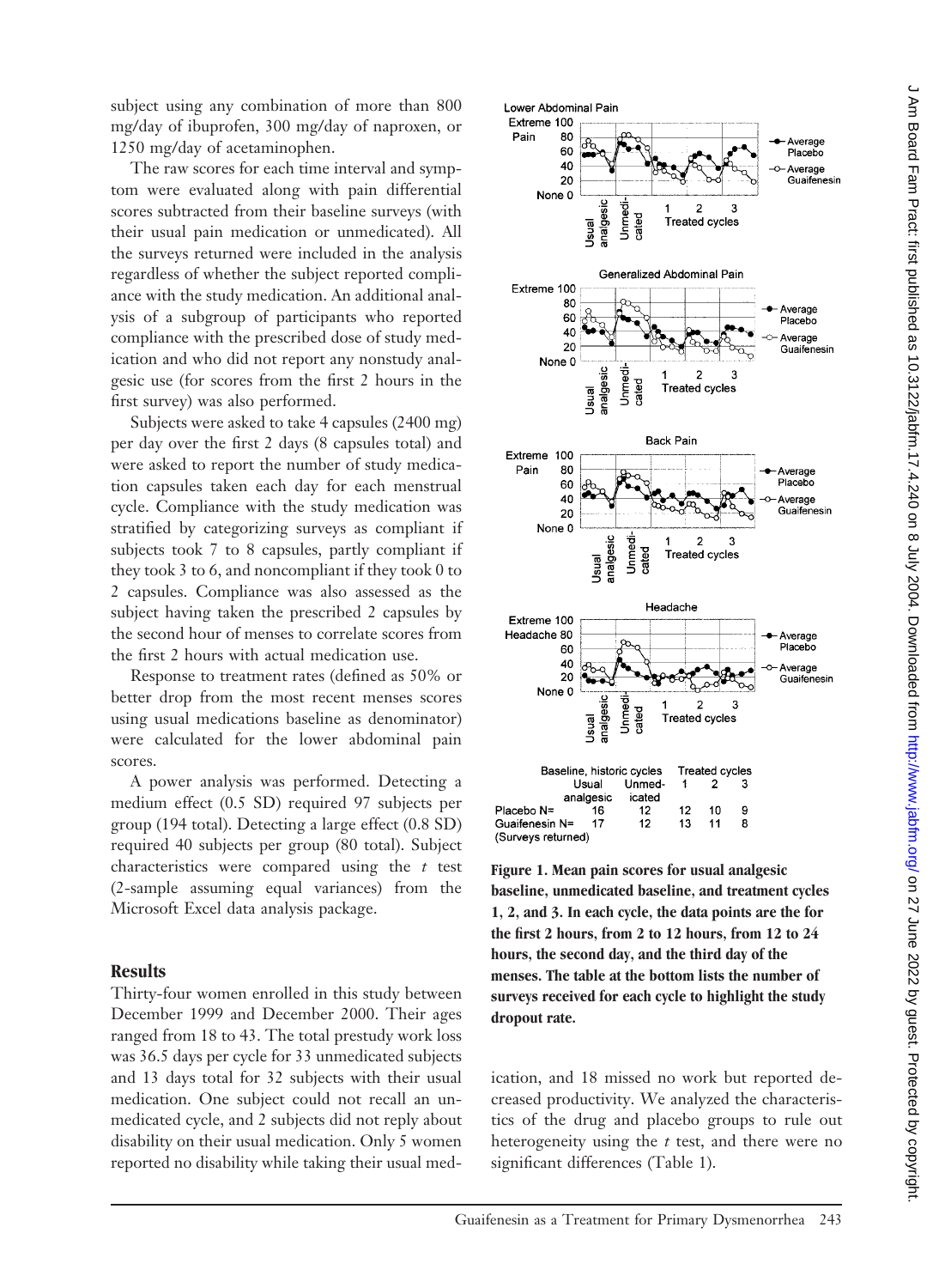subject using any combination of more than 800 mg/day of ibuprofen, 300 mg/day of naproxen, or 1250 mg/day of acetaminophen.

The raw scores for each time interval and symptom were evaluated along with pain differential scores subtracted from their baseline surveys (with their usual pain medication or unmedicated). All the surveys returned were included in the analysis regardless of whether the subject reported compliance with the study medication. An additional analysis of a subgroup of participants who reported compliance with the prescribed dose of study medication and who did not report any nonstudy analgesic use (for scores from the first 2 hours in the first survey) was also performed.

Subjects were asked to take 4 capsules (2400 mg) per day over the first 2 days (8 capsules total) and were asked to report the number of study medication capsules taken each day for each menstrual cycle. Compliance with the study medication was stratified by categorizing surveys as compliant if subjects took 7 to 8 capsules, partly compliant if they took 3 to 6, and noncompliant if they took 0 to 2 capsules. Compliance was also assessed as the subject having taken the prescribed 2 capsules by the second hour of menses to correlate scores from the first 2 hours with actual medication use.

Response to treatment rates (defined as 50% or better drop from the most recent menses scores using usual medications baseline as denominator) were calculated for the lower abdominal pain scores.

A power analysis was performed. Detecting a medium effect (0.5SD) required 97 subjects per group (194 total). Detecting a large effect (0.8 SD) required 40 subjects per group (80 total). Subject characteristics were compared using the *t* test (2-sample assuming equal variances) from the Microsoft Excel data analysis package.

### **Results**

Thirty-four women enrolled in this study between December 1999 and December 2000. Their ages ranged from 18 to 43. The total prestudy work loss was 36.5 days per cycle for 33 unmedicated subjects and 13 days total for 32 subjects with their usual medication. One subject could not recall an unmedicated cycle, and 2 subjects did not reply about disability on their usual medication. Only 5 women reported no disability while taking their usual med-



**Figure 1. Mean pain scores for usual analgesic baseline, unmedicated baseline, and treatment cycles 1, 2, and 3. In each cycle, the data points are the for the first 2 hours, from 2 to 12 hours, from 12 to 24 hours, the second day, and the third day of the menses. The table at the bottom lists the number of surveys received for each cycle to highlight the study dropout rate.**

ication, and 18 missed no work but reported decreased productivity. We analyzed the characteristics of the drug and placebo groups to rule out heterogeneity using the *t* test, and there were no significant differences (Table 1).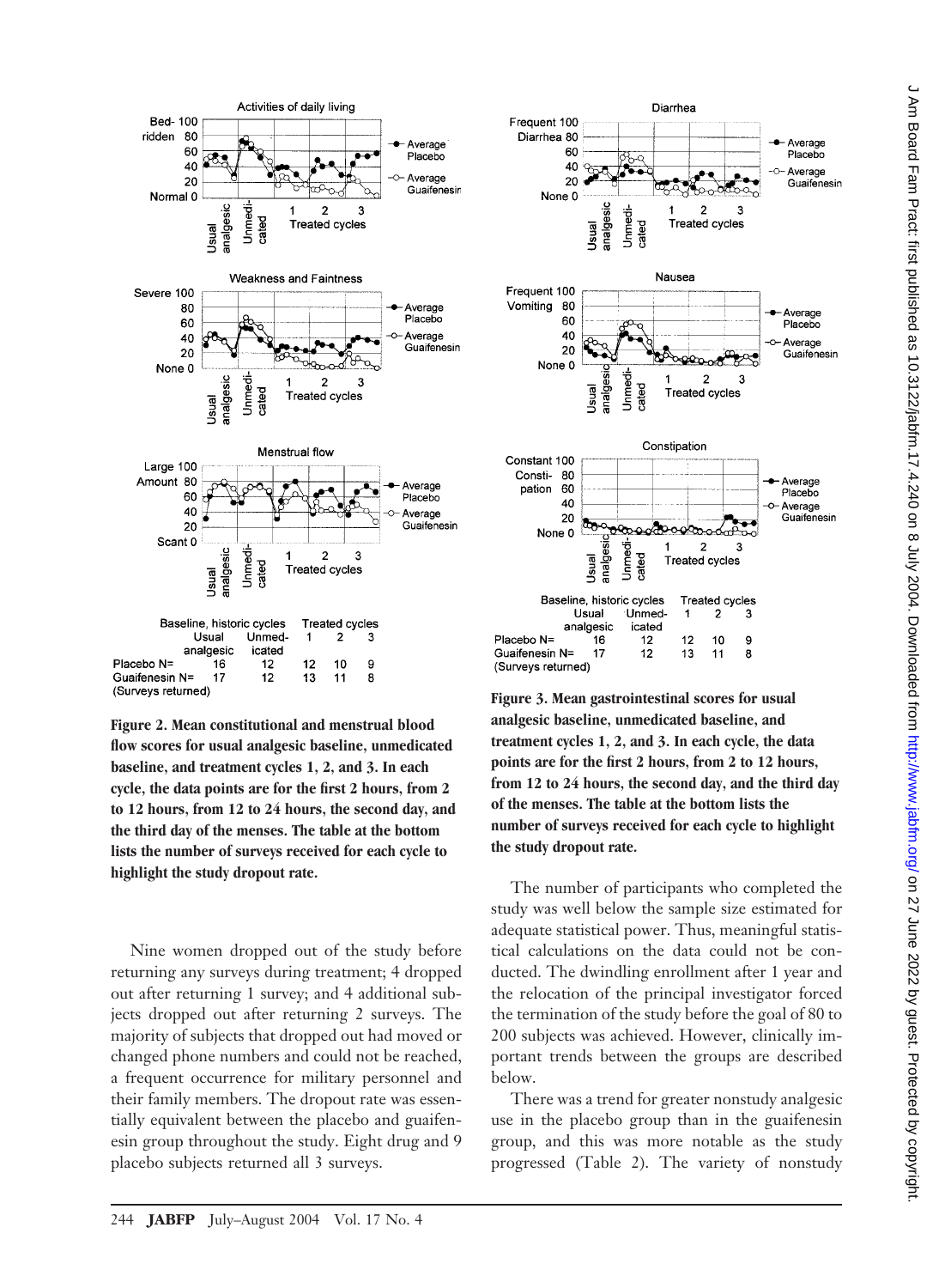

**Figure 2. Mean constitutional and menstrual blood flow scores for usual analgesic baseline, unmedicated baseline, and treatment cycles 1, 2, and 3. In each cycle, the data points are for the first 2 hours, from 2 to 12 hours, from 12 to 24 hours, the second day, and the third day of the menses. The table at the bottom lists the number of surveys received for each cycle to highlight the study dropout rate.**

Nine women dropped out of the study before returning any surveys during treatment; 4 dropped out after returning 1 survey; and 4 additional subjects dropped out after returning 2 surveys. The majority of subjects that dropped out had moved or changed phone numbers and could not be reached, a frequent occurrence for military personnel and their family members. The dropout rate was essentially equivalent between the placebo and guaifenesin group throughout the study. Eight drug and 9 placebo subjects returned all 3 surveys.



**Figure 3. Mean gastrointestinal scores for usual analgesic baseline, unmedicated baseline, and treatment cycles 1, 2, and 3. In each cycle, the data points are for the first 2 hours, from 2 to 12 hours, from 12 to 24 hours, the second day, and the third day of the menses. The table at the bottom lists the number of surveys received for each cycle to highlight the study dropout rate.**

The number of participants who completed the study was well below the sample size estimated for adequate statistical power. Thus, meaningful statistical calculations on the data could not be conducted. The dwindling enrollment after 1 year and the relocation of the principal investigator forced the termination of the study before the goal of 80 to 200 subjects was achieved. However, clinically important trends between the groups are described below.

There was a trend for greater nonstudy analgesic use in the placebo group than in the guaifenesin group, and this was more notable as the study progressed (Table 2). The variety of nonstudy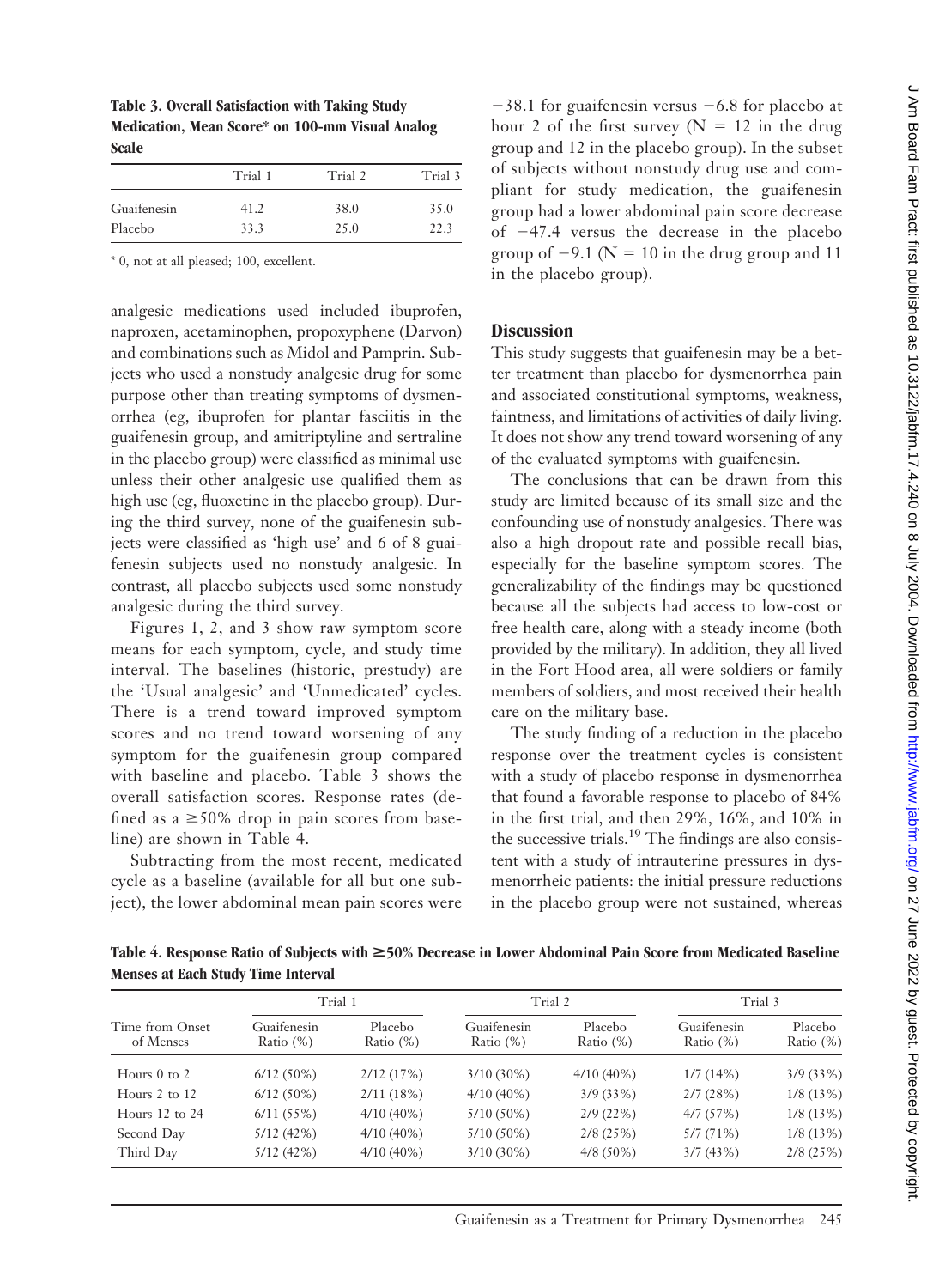**Table 3. Overall Satisfaction with Taking Study Medication, Mean Score\* on 100-mm Visual Analog Scale**

|      |                 | Trial 3         |  |
|------|-----------------|-----------------|--|
|      |                 | 35.0            |  |
| 33.3 | 25.0            | 22.3            |  |
|      | Trial 1<br>41.2 | Trial 2<br>38.0 |  |

\* 0, not at all pleased; 100, excellent.

analgesic medications used included ibuprofen, naproxen, acetaminophen, propoxyphene (Darvon) and combinations such as Midol and Pamprin. Subjects who used a nonstudy analgesic drug for some purpose other than treating symptoms of dysmenorrhea (eg, ibuprofen for plantar fasciitis in the guaifenesin group, and amitriptyline and sertraline in the placebo group) were classified as minimal use unless their other analgesic use qualified them as high use (eg, fluoxetine in the placebo group). During the third survey, none of the guaifenesin subjects were classified as 'high use' and 6 of 8 guaifenesin subjects used no nonstudy analgesic. In contrast, all placebo subjects used some nonstudy analgesic during the third survey.

Figures 1, 2, and 3 show raw symptom score means for each symptom, cycle, and study time interval. The baselines (historic, prestudy) are the 'Usual analgesic' and 'Unmedicated' cycles. There is a trend toward improved symptom scores and no trend toward worsening of any symptom for the guaifenesin group compared with baseline and placebo. Table 3 shows the overall satisfaction scores. Response rates (defined as  $a \ge 50\%$  drop in pain scores from baseline) are shown in Table 4.

Subtracting from the most recent, medicated cycle as a baseline (available for all but one subject), the lower abdominal mean pain scores were

 $-38.1$  for guaifenesin versus  $-6.8$  for placebo at hour 2 of the first survey ( $N = 12$  in the drug group and 12 in the placebo group). In the subset of subjects without nonstudy drug use and compliant for study medication, the guaifenesin group had a lower abdominal pain score decrease of  $-47.4$  versus the decrease in the placebo group of  $-9.1$  (N = 10 in the drug group and 11 in the placebo group).

# **Discussion**

This study suggests that guaifenesin may be a better treatment than placebo for dysmenorrhea pain and associated constitutional symptoms, weakness, faintness, and limitations of activities of daily living. It does not show any trend toward worsening of any of the evaluated symptoms with guaifenesin.

The conclusions that can be drawn from this study are limited because of its small size and the confounding use of nonstudy analgesics. There was also a high dropout rate and possible recall bias, especially for the baseline symptom scores. The generalizability of the findings may be questioned because all the subjects had access to low-cost or free health care, along with a steady income (both provided by the military). In addition, they all lived in the Fort Hood area, all were soldiers or family members of soldiers, and most received their health care on the military base.

The study finding of a reduction in the placebo response over the treatment cycles is consistent with a study of placebo response in dysmenorrhea that found a favorable response to placebo of 84% in the first trial, and then 29%, 16%, and 10% in the successive trials.<sup>19</sup> The findings are also consistent with a study of intrauterine pressures in dysmenorrheic patients: the initial pressure reductions in the placebo group were not sustained, whereas

**Table 4. Response Ratio of Subjects with** >**50% Decrease in Lower Abdominal Pain Score from Medicated Baseline Menses at Each Study Time Interval**

|                              | Trial 1                     |                         | Trial 2                     |                         | Trial 3                     |                         |
|------------------------------|-----------------------------|-------------------------|-----------------------------|-------------------------|-----------------------------|-------------------------|
| Time from Onset<br>of Menses | Guaifenesin<br>Ratio $(\%)$ | Placebo<br>Ratio $(\%)$ | Guaifenesin<br>Ratio $(\%)$ | Placebo<br>Ratio $(\%)$ | Guaifenesin<br>Ratio $(\%)$ | Placebo<br>Ratio $(\%)$ |
| Hours $0$ to $2$             | $6/12(50\%)$                | 2/12(17%)               | $3/10(30\%)$                | $4/10(40\%)$            | 1/7(14%)                    | 3/9(33%)                |
| Hours $2$ to $12$            | $6/12(50\%)$                | 2/11(18%)               | $4/10(40\%)$                | 3/9(33%)                | 2/7(28%)                    | 1/8(13%)                |
| Hours $12$ to $24$           | 6/11(55%)                   | $4/10(40\%)$            | $5/10(50\%)$                | 2/9(22%)                | 4/7(57%)                    | 1/8(13%)                |
| Second Day                   | 5/12(42%)                   | $4/10(40\%)$            | $5/10(50\%)$                | 2/8(25%)                | 5/7(71%)                    | 1/8(13%)                |
| Third Day                    | 5/12(42%)                   | $4/10(40\%)$            | $3/10(30\%)$                | $4/8(50\%)$             | 3/7(43%)                    | 2/8(25%)                |